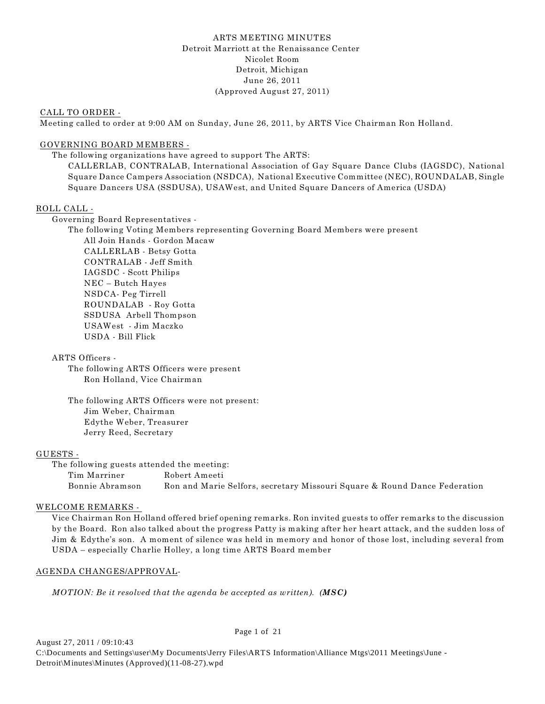## ARTS MEETING MINUTES Detroit Marriott at the Renaissance Center Nicolet Room Detroit, Michigan June 26, 2011 (Approved August 27, 2011)

### CALL TO ORDER -

Meeting called to order at 9:00 AM on Sunday, June 26, 2011, by ARTS Vice Chairman Ron Holland.

## GOVERNING BOARD MEMBERS -

The following organizations have agreed to support The ARTS:

CALLERLAB, CONTRALAB, International Association of Gay Square Dance Clubs (IAGSDC), National Square Dance Campers Association (NSDCA), National Executive Committee (NEC), ROUNDALAB, Single Square Dancers USA (SSDUSA), USAWest, and United Square Dancers of America (USDA)

### ROLL CALL -

Governing Board Representatives -

The following Voting Members representing Governing Board Members were present All Join Hands - Gordon Macaw CALLERLAB - Betsy Gotta CONTRALAB - Jeff Smith IAGSDC - Scott Philips NEC – Butch Hayes NSDCA- Peg Tirrell ROUNDALAB - Roy Gotta SSDUSA Arbell Thompson USAWest - Jim Maczko USDA - Bill Flick

### ARTS Officers -

The following ARTS Officers were present Ron Holland, Vice Chairman

The following ARTS Officers were not present: Jim Weber, Chairman Edythe Weber, Treasurer Jerry Reed, Secretary

#### GUESTS -

The following guests attended the meeting: Tim Marriner Robert Ameeti Bonnie Abramson Ron and Marie Selfors, secretary Missouri Square & Round Dance Federation

#### WELCOME REMARKS -

Vice Chairman Ron Holland offered brief opening remarks. Ron invited guests to offer remarks to the discussion by the Board. Ron also talked about the progress Patty is making after her heart attack, and the sudden loss of Jim & Edythe's son. A moment of silence was held in memory and honor of those lost, including several from USDA – especially Charlie Holley, a long time ARTS Board member

## AGENDA CHANGES/APPROVAL-

*MOTION: Be it resolved that the agenda be accepted as written). (MSC)*

August 27, 2011 / 09:10:43 C:\Documents and Settings\user\My Documents\Jerry Files\ARTS Information\Alliance Mtgs\2011 Meetings\June - Detroit\Minutes\Minutes (Approved)(11-08-27).wpd

Page 1 of 21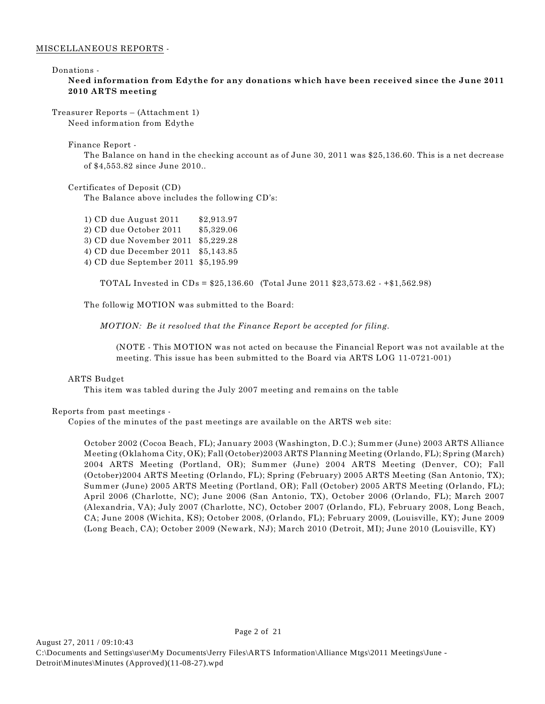## MISCELLANEOUS REPORTS -

#### Donations -

**Need information from Edythe for any donations which have been received since the June 2011 2010 ARTS meeting**

Treasurer Reports – (Attachment 1)

Need information from Edythe

Finance Report -

The Balance on hand in the checking account as of June 30, 2011 was \$25,136.60. This is a net decrease of \$4,553.82 since June 2010..

Certificates of Deposit (CD)

The Balance above includes the following CD's:

1) CD due August 2011 \$2,913.97 2) CD due October 2011 \$5,329.06 3) CD due November 2011 \$5,229.28 4) CD due December 2011 \$5,143.85 4) CD due September 2011 \$5,195.99

TOTAL Invested in CDs = \$25,136.60 (Total June 2011 \$23,573.62 - +\$1,562.98)

The followig MOTION was submitted to the Board:

*MOTION: Be it resolved that the Finance Report be accepted for filing.* 

(NOTE - This MOTION was not acted on because the Financial Report was not available at the meeting. This issue has been submitted to the Board via ARTS LOG 11-0721-001)

#### ARTS Budget

This item was tabled during the July 2007 meeting and remains on the table

#### Reports from past meetings -

Copies of the minutes of the past meetings are available on the ARTS web site:

October 2002 (Cocoa Beach, FL); January 2003 (Washington, D.C.); Summer (June) 2003 ARTS Alliance Meeting (Oklahoma City, OK); Fall (October)2003 ARTS Planning Meeting (Orlando, FL); Spring (March) 2004 ARTS Meeting (Portland, OR); Summer (June) 2004 ARTS Meeting (Denver, CO); Fall (October)2004 ARTS Meeting (Orlando, FL); Spring (February) 2005 ARTS Meeting (San Antonio, TX); Summer (June) 2005 ARTS Meeting (Portland, OR); Fall (October) 2005 ARTS Meeting (Orlando, FL); April 2006 (Charlotte, NC); June 2006 (San Antonio, TX), October 2006 (Orlando, FL); March 2007 (Alexandria, VA); July 2007 (Charlotte, NC), October 2007 (Orlando, FL), February 2008, Long Beach, CA; June 2008 (Wichita, KS); October 2008, (Orlando, FL); February 2009, (Louisville, KY); June 2009 (Long Beach, CA); October 2009 (Newark, NJ); March 2010 (Detroit, MI); June 2010 (Louisville, KY)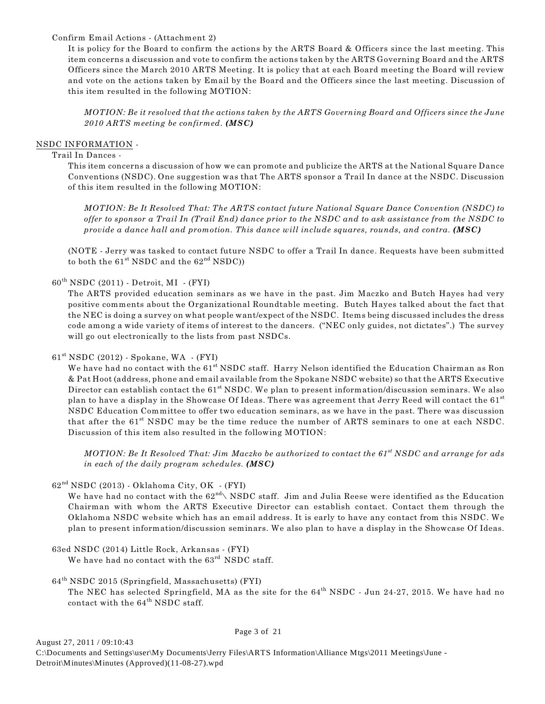## Confirm Email Actions - (Attachment 2)

 It is policy for the Board to confirm the actions by the ARTS Board & Officers since the last meeting. This item concerns a discussion and vote to confirm the actions taken by the ARTS Governing Board and the ARTS Officers since the March 2010 ARTS Meeting. It is policy that at each Board meeting the Board will review and vote on the actions taken by Email by the Board and the Officers since the last meeting. Discussion of this item resulted in the following MOTION:

*MOTION: Be it resolved that the actions taken by the ARTS Governing Board and Officers since the June 2010 ARTS meeting be confirmed. (MSC)*

#### NSDC INFORMATION -

Trail In Dances -

This item concerns a discussion of how we can promote and publicize the ARTS at the National Square Dance Conventions (NSDC). One suggestion was that The ARTS sponsor a Trail In dance at the NSDC. Discussion of this item resulted in the following MOTION:

*MOTION: Be It Resolved That: The ARTS contact future National Square Dance Convention (NSDC) to offer to sponsor a Trail In (Trail End) dance prior to the NSDC and to ask assistance from the NSDC to provide a dance hall and promotion. This dance will include squares, rounds, and contra. (MSC)*

(NOTE - Jerry was tasked to contact future NSDC to offer a Trail In dance. Requests have been submitted to both the  $61<sup>st</sup> NSDC$  and the  $62<sup>nd</sup> NSDC$ ))

## $60<sup>th</sup> NSDC (2011) - Detroit, MI - (FYI)$

The ARTS provided education seminars as we have in the past. Jim Maczko and Butch Hayes had very positive comments about the Organizational Roundtable meeting. Butch Hayes talked about the fact that the NEC is doing a survey on what people want/expect of the NSDC. Items being discussed includes the dress code among a wide variety of items of interest to the dancers. ("NEC only guides, not dictates".) The survey will go out electronically to the lists from past NSDCs.

## $61<sup>st</sup> NSDC (2012)$  - Spokane, WA  $\cdot$  (FYI)

We have had no contact with the  $61^{st}$  NSDC staff. Harry Nelson identified the Education Chairman as Ron & Pat Hoot (address, phone and email available from the Spokane NSDC website) so that the ARTS Executive Director can establish contact the  $61<sup>st</sup> NSDC$ . We plan to present information/discussion seminars. We also plan to have a display in the Showcase Of Ideas. There was agreement that Jerry Reed will contact the 61<sup>st</sup> NSDC Education Committee to offer two education seminars, as we have in the past. There was discussion that after the  $61<sup>st</sup>$  NSDC may be the time reduce the number of ARTS seminars to one at each NSDC. Discussion of this item also resulted in the following MOTION:

*MOTION: Be It Resolved That: Jim Maczko be authorized to contact the 61<sup>st</sup> NSDC and arrange for ads in each of the daily program schedules. (MSC)*

#### $62<sup>nd</sup> NSDC (2013) - Oklahoma City, OK - (FYI)$

We have had no contact with the  $62<sup>nd</sup>$  NSDC staff. Jim and Julia Reese were identified as the Education Chairman with whom the ARTS Executive Director can establish contact. Contact them through the Oklahoma NSDC website which has an email address. It is early to have any contact from this NSDC. We plan to present information/discussion seminars. We also plan to have a display in the Showcase Of Ideas.

63ed NSDC (2014) Little Rock, Arkansas - (FYI)

We have had no contact with the  $63<sup>rd</sup>$  NSDC staff.

 $64<sup>th</sup> NSDC 2015$  (Springfield, Massachusetts) (FYI)

The NEC has selected Springfield, MA as the site for the 64<sup>th</sup> NSDC - Jun 24-27, 2015. We have had no contact with the  $64^{\text{th}}$  NSDC staff.

August 27, 2011 / 09:10:43

Page 3 of 21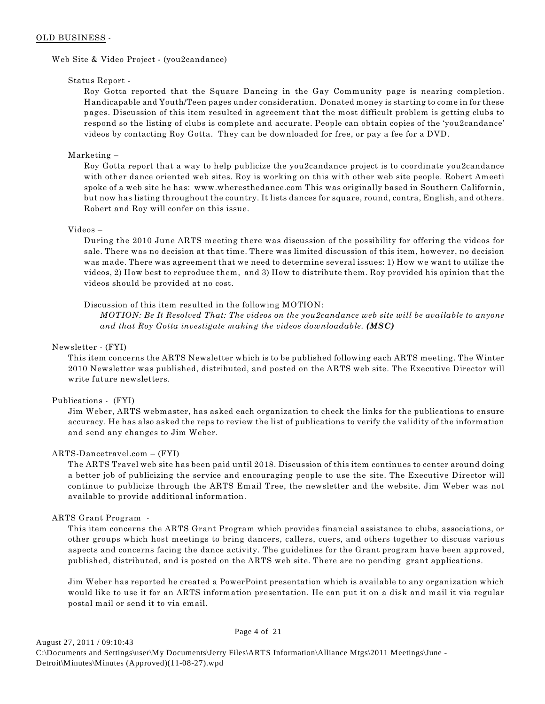### OLD BUSINESS -

### Web Site & Video Project - (you2candance)

## Status Report -

Roy Gotta reported that the Square Dancing in the Gay Community page is nearing completion. Handicapable and Youth/Teen pages under consideration. Donated money is starting to come in for these pages. Discussion of this item resulted in agreement that the most difficult problem is getting clubs to respond so the listing of clubs is complete and accurate. People can obtain copies of the 'you2candance' videos by contacting Roy Gotta. They can be downloaded for free, or pay a fee for a DVD.

## Marketing –

Roy Gotta report that a way to help publicize the you2candance project is to coordinate you2candance with other dance oriented web sites. Roy is working on this with other web site people. Robert Ameeti spoke of a web site he has: www.wheresthedance.com This was originally based in Southern California, but now has listing throughout the country. It lists dances for square, round, contra, English, and others. Robert and Roy will confer on this issue.

### Videos –

During the 2010 June ARTS meeting there was discussion of the possibility for offering the videos for sale. There was no decision at that time. There was limited discussion of this item, however, no decision was made. There was agreement that we need to determine several issues: 1) How we want to utilize the videos, 2) How best to reproduce them, and 3) How to distribute them. Roy provided his opinion that the videos should be provided at no cost.

## Discussion of this item resulted in the following MOTION:

*MOTION: Be It Resolved That: The videos on the you2candance web site will be available to anyone and that Roy Gotta investigate making the videos downloadable. (MSC)*

## Newsletter - (FYI)

This item concerns the ARTS Newsletter which is to be published following each ARTS meeting. The Winter 2010 Newsletter was published, distributed, and posted on the ARTS web site. The Executive Director will write future newsletters.

## Publications - (FYI)

Jim Weber, ARTS webmaster, has asked each organization to check the links for the publications to ensure accuracy. He has also asked the reps to review the list of publications to verify the validity of the information and send any changes to Jim Weber.

## ARTS-Dancetravel.com – (FYI)

The ARTS Travel web site has been paid until 2018. Discussion of this item continues to center around doing a better job of publicizing the service and encouraging people to use the site. The Executive Director will continue to publicize through the ARTS Email Tree, the newsletter and the website. Jim Weber was not available to provide additional information.

## ARTS Grant Program -

This item concerns the ARTS Grant Program which provides financial assistance to clubs, associations, or other groups which host meetings to bring dancers, callers, cuers, and others together to discuss various aspects and concerns facing the dance activity. The guidelines for the Grant program have been approved, published, distributed, and is posted on the ARTS web site. There are no pending grant applications.

Jim Weber has reported he created a PowerPoint presentation which is available to any organization which would like to use it for an ARTS information presentation. He can put it on a disk and mail it via regular postal mail or send it to via email.

Page 4 of 21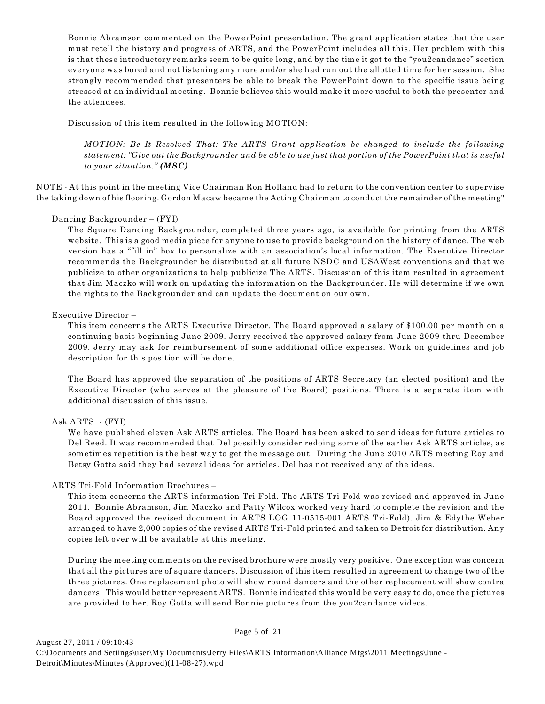Bonnie Abramson commented on the PowerPoint presentation. The grant application states that the user must retell the history and progress of ARTS, and the PowerPoint includes all this. Her problem with this is that these introductory remarks seem to be quite long, and by the time it got to the "you2candance" section everyone was bored and not listening any more and/or she had run out the allotted time for her session. She strongly recommended that presenters be able to break the PowerPoint down to the specific issue being stressed at an individual meeting. Bonnie believes this would make it more useful to both the presenter and the attendees.

Discussion of this item resulted in the following MOTION:

*MOTION: Be It Resolved That: The ARTS Grant application be changed to include the following statement: "Give out the Backgrounder and be able to use just that portion of the PowerPoint that is useful to your situation." (MSC)*

NOTE - At this point in the meeting Vice Chairman Ron Holland had to return to the convention center to supervise the taking down of his flooring. Gordon Macaw became the Acting Chairman to conduct the remainder of the meeting"

## Dancing Backgrounder – (FYI)

The Square Dancing Backgrounder, completed three years ago, is available for printing from the ARTS website. This is a good media piece for anyone to use to provide background on the history of dance. The web version has a "fill in" box to personalize with an association's local information. The Executive Director recommends the Backgrounder be distributed at all future NSDC and USAWest conventions and that we publicize to other organizations to help publicize The ARTS. Discussion of this item resulted in agreement that Jim Maczko will work on updating the information on the Backgrounder. He will determine if we own the rights to the Backgrounder and can update the document on our own.

## Executive Director –

This item concerns the ARTS Executive Director. The Board approved a salary of \$100.00 per month on a continuing basis beginning June 2009. Jerry received the approved salary from June 2009 thru December 2009. Jerry may ask for reimbursement of some additional office expenses. Work on guidelines and job description for this position will be done.

The Board has approved the separation of the positions of ARTS Secretary (an elected position) and the Executive Director (who serves at the pleasure of the Board) positions. There is a separate item with additional discussion of this issue.

## Ask ARTS - (FYI)

We have published eleven Ask ARTS articles. The Board has been asked to send ideas for future articles to Del Reed. It was recommended that Del possibly consider redoing some of the earlier Ask ARTS articles, as sometimes repetition is the best way to get the message out. During the June 2010 ARTS meeting Roy and Betsy Gotta said they had several ideas for articles. Del has not received any of the ideas.

## ARTS Tri-Fold Information Brochures –

This item concerns the ARTS information Tri-Fold. The ARTS Tri-Fold was revised and approved in June 2011. Bonnie Abramson, Jim Maczko and Patty Wilcox worked very hard to complete the revision and the Board approved the revised document in ARTS LOG 11-0515-001 ARTS Tri-Fold). Jim & Edythe Weber arranged to have 2,000 copies of the revised ARTS Tri-Fold printed and taken to Detroit for distribution. Any copies left over will be available at this meeting.

During the meeting comments on the revised brochure were mostly very positive. One exception was concern that all the pictures are of square dancers. Discussion of this item resulted in agreement to change two of the three pictures. One replacement photo will show round dancers and the other replacement will show contra dancers. This would better represent ARTS. Bonnie indicated this would be very easy to do, once the pictures are provided to her. Roy Gotta will send Bonnie pictures from the you2candance videos.

Page 5 of 21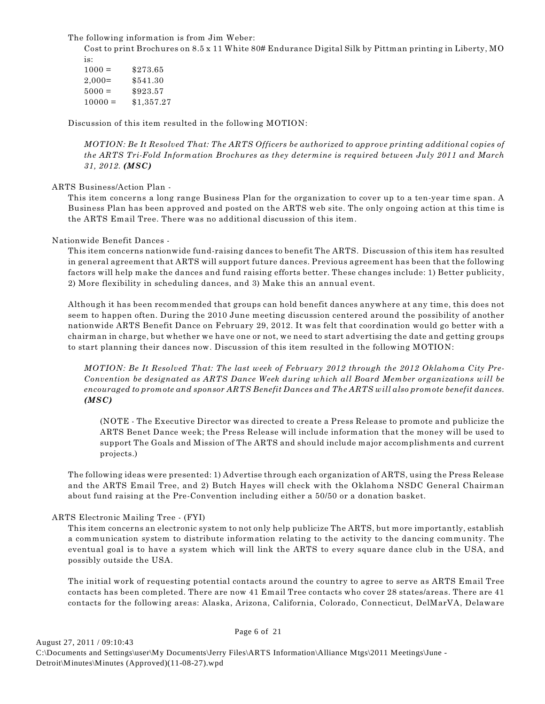The following information is from Jim Weber:

Cost to print Brochures on 8.5 x 11 White 80# Endurance Digital Silk by Pittman printing in Liberty, MO is:  $1000 =$  \$273.65 2,000= \$541.30  $5000 = $923.57$  $10000 = $1,357.27$ 

Discussion of this item resulted in the following MOTION:

*MOTION: Be It Resolved That: The ARTS Officers be authorized to approve printing additional copies of the ARTS Tri-Fold Information Brochures as they determine is required between July 2011 and March 31, 2012. (MSC)*

## ARTS Business/Action Plan -

This item concerns a long range Business Plan for the organization to cover up to a ten-year time span. A Business Plan has been approved and posted on the ARTS web site. The only ongoing action at this time is the ARTS Email Tree. There was no additional discussion of this item.

## Nationwide Benefit Dances -

This item concerns nationwide fund-raising dances to benefit The ARTS. Discussion of this item has resulted in general agreement that ARTS will support future dances. Previous agreement has been that the following factors will help make the dances and fund raising efforts better. These changes include: 1) Better publicity, 2) More flexibility in scheduling dances, and 3) Make this an annual event.

Although it has been recommended that groups can hold benefit dances anywhere at any time, this does not seem to happen often. During the 2010 June meeting discussion centered around the possibility of another nationwide ARTS Benefit Dance on February 29, 2012. It was felt that coordination would go better with a chairman in charge, but whether we have one or not, we need to start advertising the date and getting groups to start planning their dances now. Discussion of this item resulted in the following MOTION:

*MOTION: Be It Resolved That: The last week of February 2012 through the 2012 Oklahoma City Pre-Convention be designated as ARTS Dance Week during which all Board Member organizations will be encouraged to promote and sponsor ARTS Benefit Dances and The ARTS will also promote benefit dances. (MSC)*

(NOTE - The Executive Director was directed to create a Press Release to promote and publicize the ARTS Benet Dance week; the Press Release will include information that the money will be used to support The Goals and Mission of The ARTS and should include major accomplishments and current projects.)

The following ideas were presented: 1) Advertise through each organization of ARTS, using the Press Release and the ARTS Email Tree, and 2) Butch Hayes will check with the Oklahoma NSDC General Chairman about fund raising at the Pre-Convention including either a 50/50 or a donation basket.

## ARTS Electronic Mailing Tree - (FYI)

This item concerns an electronic system to not only help publicize The ARTS, but more importantly, establish a communication system to distribute information relating to the activity to the dancing community. The eventual goal is to have a system which will link the ARTS to every square dance club in the USA, and possibly outside the USA.

The initial work of requesting potential contacts around the country to agree to serve as ARTS Email Tree contacts has been completed. There are now 41 Email Tree contacts who cover 28 states/areas. There are 41 contacts for the following areas: Alaska, Arizona, California, Colorado, Connecticut, DelMarVA, Delaware

Page 6 of 21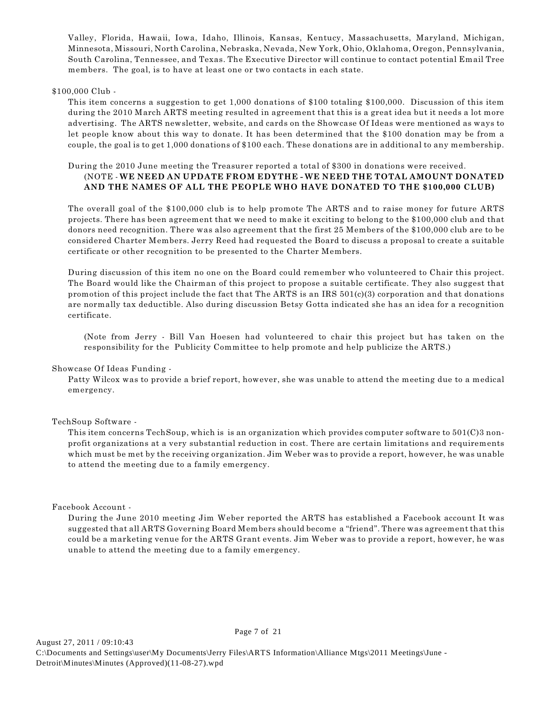Valley, Florida, Hawaii, Iowa, Idaho, Illinois, Kansas, Kentucy, Massachusetts, Maryland, Michigan, Minnesota, Missouri, North Carolina, Nebraska, Nevada, New York, Ohio, Oklahoma, Oregon, Pennsylvania, South Carolina, Tennessee, and Texas. The Executive Director will continue to contact potential Email Tree members. The goal, is to have at least one or two contacts in each state.

## \$100,000 Club -

This item concerns a suggestion to get 1,000 donations of \$100 totaling \$100,000. Discussion of this item during the 2010 March ARTS meeting resulted in agreement that this is a great idea but it needs a lot more advertising. The ARTS newsletter, website, and cards on the Showcase Of Ideas were mentioned as ways to let people know about this way to donate. It has been determined that the \$100 donation may be from a couple, the goal is to get 1,000 donations of \$100 each. These donations are in additional to any membership.

## During the 2010 June meeting the Treasurer reported a total of \$300 in donations were received. (NOTE - **WE NEED AN UPDATE FROM EDYTHE - WE NEED THE TOTAL AMOUNT DONATED AND THE NAMES OF ALL THE PEOPLE WHO HAVE DONATED TO THE \$100,000 CLUB)**

The overall goal of the \$100,000 club is to help promote The ARTS and to raise money for future ARTS projects. There has been agreement that we need to make it exciting to belong to the \$100,000 club and that donors need recognition. There was also agreement that the first 25 Members of the \$100,000 club are to be considered Charter Members. Jerry Reed had requested the Board to discuss a proposal to create a suitable certificate or other recognition to be presented to the Charter Members.

During discussion of this item no one on the Board could remember who volunteered to Chair this project. The Board would like the Chairman of this project to propose a suitable certificate. They also suggest that promotion of this project include the fact that The ARTS is an IRS  $501(c)(3)$  corporation and that donations are normally tax deductible. Also during discussion Betsy Gotta indicated she has an idea for a recognition certificate.

(Note from Jerry - Bill Van Hoesen had volunteered to chair this project but has taken on the responsibility for the Publicity Committee to help promote and help publicize the ARTS.)

#### Showcase Of Ideas Funding -

Patty Wilcox was to provide a brief report, however, she was unable to attend the meeting due to a medical emergency.

## TechSoup Software -

This item concerns TechSoup, which is is an organization which provides computer software to 501(C)3 nonprofit organizations at a very substantial reduction in cost. There are certain limitations and requirements which must be met by the receiving organization. Jim Weber was to provide a report, however, he was unable to attend the meeting due to a family emergency.

#### Facebook Account -

During the June 2010 meeting Jim Weber reported the ARTS has established a Facebook account It was suggested that all ARTS Governing Board Members should become a "friend". There was agreement that this could be a marketing venue for the ARTS Grant events. Jim Weber was to provide a report, however, he was unable to attend the meeting due to a family emergency.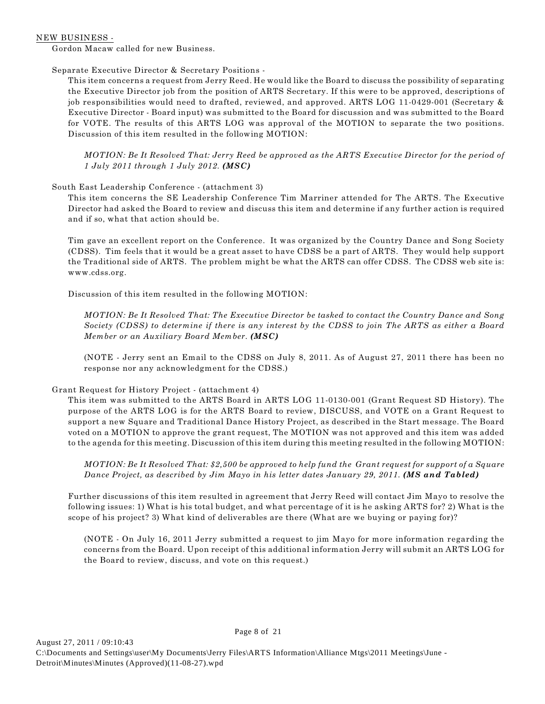#### NEW BUSINESS -

Gordon Macaw called for new Business.

## Separate Executive Director & Secretary Positions -

This item concerns a request from Jerry Reed. He would like the Board to discuss the possibility of separating the Executive Director job from the position of ARTS Secretary. If this were to be approved, descriptions of job responsibilities would need to drafted, reviewed, and approved. ARTS LOG 11-0429-001 (Secretary & Executive Director - Board input) was submitted to the Board for discussion and was submitted to the Board for VOTE. The results of this ARTS LOG was approval of the MOTION to separate the two positions. Discussion of this item resulted in the following MOTION:

*MOTION: Be It Resolved That: Jerry Reed be approved as the ARTS Executive Director for the period of 1 July 2011 through 1 July 2012. (MSC)*

## South East Leadership Conference - (attachment 3)

This item concerns the SE Leadership Conference Tim Marriner attended for The ARTS. The Executive Director had asked the Board to review and discuss this item and determine if any further action is required and if so, what that action should be.

Tim gave an excellent report on the Conference. It was organized by the Country Dance and Song Society (CDSS). Tim feels that it would be a great asset to have CDSS be a part of ARTS. They would help support the Traditional side of ARTS. The problem might be what the ARTS can offer CDSS. The CDSS web site is: www.cdss.org.

Discussion of this item resulted in the following MOTION:

*MOTION: Be It Resolved That: The Executive Director be tasked to contact the Country Dance and Song Society (CDSS) to determine if there is any interest by the CDSS to join The ARTS as either a Board Member or an Auxiliary Board Member. (MSC)*

(NOTE - Jerry sent an Email to the CDSS on July 8, 2011. As of August 27, 2011 there has been no response nor any acknowledgment for the CDSS.)

## Grant Request for History Project - (attachment 4)

This item was submitted to the ARTS Board in ARTS LOG 11-0130-001 (Grant Request SD History). The purpose of the ARTS LOG is for the ARTS Board to review, DISCUSS, and VOTE on a Grant Request to support a new Square and Traditional Dance History Project, as described in the Start message. The Board voted on a MOTION to approve the grant request, The MOTION was not approved and this item was added to the agenda for this meeting. Discussion of this item during this meeting resulted in the following MOTION:

*MOTION: Be It Resolved That: \$2,500 be approved to help fund the Grant request for support of a Square Dance Project, as described by Jim Mayo in his letter dates January 29, 2011. (MS and Tabled)*

Further discussions of this item resulted in agreement that Jerry Reed will contact Jim Mayo to resolve the following issues: 1) What is his total budget, and what percentage of it is he asking ARTS for? 2) What is the scope of his project? 3) What kind of deliverables are there (What are we buying or paying for)?

(NOTE - On July 16, 2011 Jerry submitted a request to jim Mayo for more information regarding the concerns from the Board. Upon receipt of this additional information Jerry will submit an ARTS LOG for the Board to review, discuss, and vote on this request.)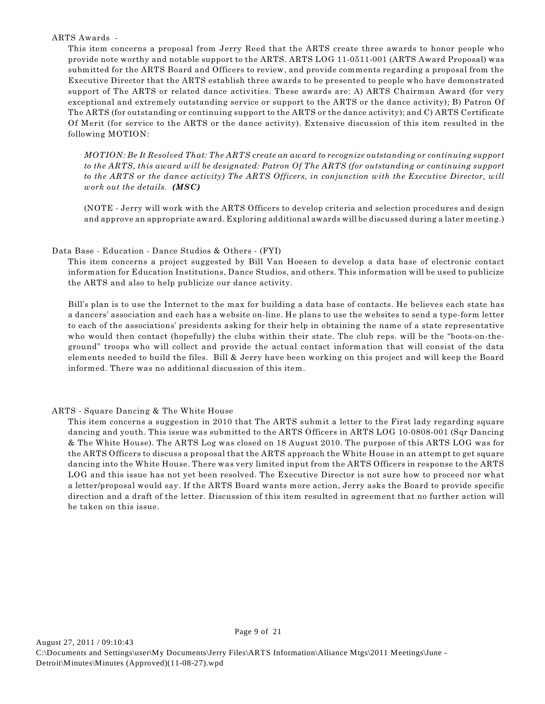### ARTS Awards -

This item concerns a proposal from Jerry Reed that the ARTS create three awards to honor people who provide note worthy and notable support to the ARTS. ARTS LOG 11-0511-001 (ARTS Award Proposal) was submitted for the ARTS Board and Officers to review, and provide comments regarding a proposal from the Executive Director that the ARTS establish three awards to be presented to people who have demonstrated support of The ARTS or related dance activities. These awards are: A) ARTS Chairman Award (for very exceptional and extremely outstanding service or support to the ARTS or the dance activity); B) Patron Of The ARTS (for outstanding or continuing support to the ARTS or the dance activity); and C) ARTS Certificate Of Merit (for service to the ARTS or the dance activity). Extensive discussion of this item resulted in the following MOTION:

*MOTION: Be It Resolved That: The ARTS create an award to recognize outstanding or continuing support to the ARTS, this award will be designated: Patron Of The ARTS (for outstanding or continuing support to the ARTS or the dance activity) The ARTS Officers, in conjunction with the Executive Director, will work out the details. (MSC)*

(NOTE - Jerry will work with the ARTS Officers to develop criteria and selection procedures and design and approve an appropriate award. Exploring additional awards will be discussed during a later meeting.)

## Data Base - Education - Dance Studios & Others - (FYI)

This item concerns a project suggested by Bill Van Hoesen to develop a data base of electronic contact information for Education Institutions, Dance Studios, and others. This information will be used to publicize the ARTS and also to help publicize our dance activity.

Bill's plan is to use the Internet to the max for building a data base of contacts. He believes each state has a dancers' association and each has a website on-line. He plans to use the websites to send a type-form letter to each of the associations' presidents asking for their help in obtaining the name of a state representative who would then contact (hopefully) the clubs within their state. The club reps. will be the "boots-on-theground" troops who will collect and provide the actual contact information that will consist of the data elements needed to build the files. Bill & Jerry have been working on this project and will keep the Board informed. There was no additional discussion of this item.

#### ARTS - Square Dancing & The White House

This item concerns a suggestion in 2010 that The ARTS submit a letter to the First lady regarding square dancing and youth. This issue was submitted to the ARTS Officers in ARTS LOG 10-0808-001 (Sqr Dancing & The White House). The ARTS Log was closed on 18 August 2010. The purpose of this ARTS LOG was for the ARTS Officers to discuss a proposal that the ARTS approach the White House in an attempt to get square dancing into the White House. There was very limited input from the ARTS Officers in response to the ARTS LOG and this issue has not yet been resolved. The Executive Director is not sure how to proceed nor what a letter/proposal would say. If the ARTS Board wants more action, Jerry asks the Board to provide specific direction and a draft of the letter. Discussion of this item resulted in agreement that no further action will be taken on this issue.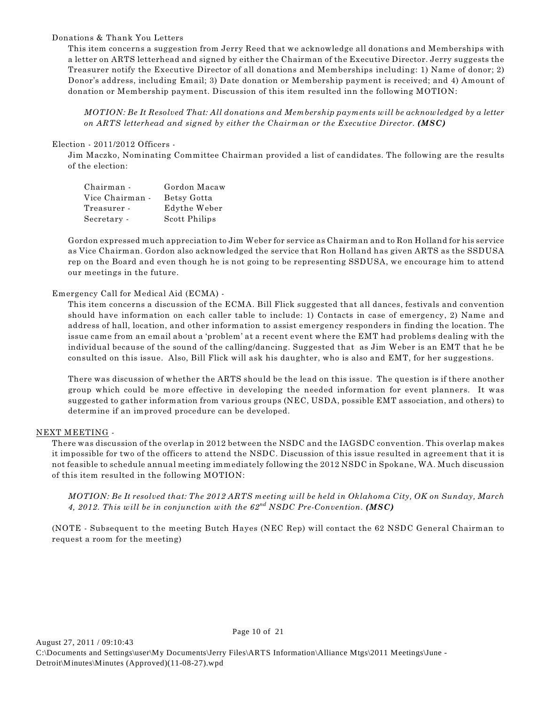## Donations & Thank You Letters

This item concerns a suggestion from Jerry Reed that we acknowledge all donations and Memberships with a letter on ARTS letterhead and signed by either the Chairman of the Executive Director. Jerry suggests the Treasurer notify the Executive Director of all donations and Memberships including: 1) Name of donor; 2) Donor's address, including Email; 3) Date donation or Membership payment is received; and 4) Amount of donation or Membership payment. Discussion of this item resulted inn the following MOTION:

*MOTION: Be It Resolved That: All donations and Membership payments will be acknowledged by a letter on ARTS letterhead and signed by either the Chairman or the Executive Director. (MSC)*

## Election - 2011/2012 Officers -

Jim Maczko, Nominating Committee Chairman provided a list of candidates. The following are the results of the election:

| Chairman -      | Gordon Macaw  |
|-----------------|---------------|
| Vice Chairman - | Betsy Gotta   |
| Treasurer -     | Edythe Weber  |
| Secretary -     | Scott Philips |

Gordon expressed much appreciation to Jim Weber for service as Chairman and to Ron Holland for his service as Vice Chairman. Gordon also acknowledged the service that Ron Holland has given ARTS as the SSDUSA rep on the Board and even though he is not going to be representing SSDUSA, we encourage him to attend our meetings in the future.

## Emergency Call for Medical Aid (ECMA) -

This item concerns a discussion of the ECMA. Bill Flick suggested that all dances, festivals and convention should have information on each caller table to include: 1) Contacts in case of emergency, 2) Name and address of hall, location, and other information to assist emergency responders in finding the location. The issue came from an email about a 'problem' at a recent event where the EMT had problems dealing with the individual because of the sound of the calling/dancing. Suggested that as Jim Weber is an EMT that he be consulted on this issue. Also, Bill Flick will ask his daughter, who is also and EMT, for her suggestions.

There was discussion of whether the ARTS should be the lead on this issue. The question is if there another group which could be more effective in developing the needed information for event planners. It was suggested to gather information from various groups (NEC, USDA, possible EMT association, and others) to determine if an improved procedure can be developed.

## NEXT MEETING -

There was discussion of the overlap in 2012 between the NSDC and the IAGSDC convention. This overlap makes it impossible for two of the officers to attend the NSDC. Discussion of this issue resulted in agreement that it is not feasible to schedule annual meeting immediately following the 2012 NSDC in Spokane, WA. Much discussion of this item resulted in the following MOTION:

*MOTION: Be It resolved that: The 2012 ARTS meeting will be held in Oklahoma City, OK on Sunday, March 4, 2012. This will be in conjunction with the*  $62<sup>nd</sup> NSDC$  *Pre-Convention.* (*MSC*)

(NOTE - Subsequent to the meeting Butch Hayes (NEC Rep) will contact the 62 NSDC General Chairman to request a room for the meeting)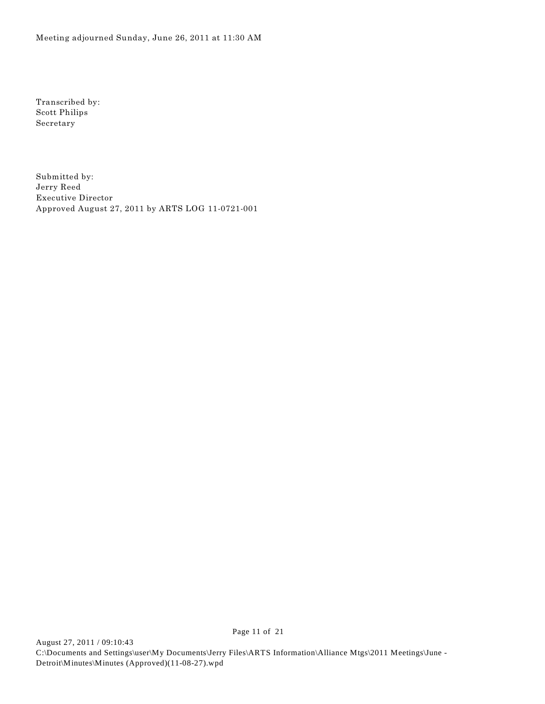## Meeting adjourned Sunday, June 26, 2011 at 11:30 AM

Transcribed by: Scott Philips Secretary

Submitted by: Jerry Reed Executive Director Approved August 27, 2011 by ARTS LOG 11-0721-001

Page 11 of 21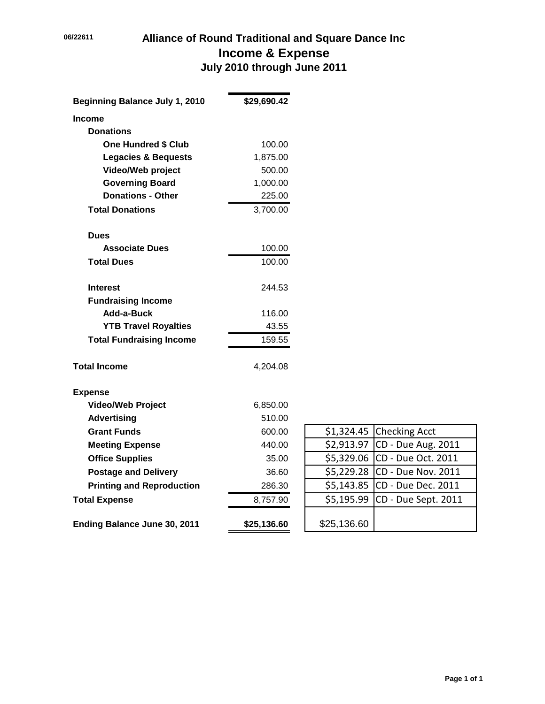# **06/22611 Alliance of Round Traditional and Square Dance Inc Income & Expense July 2010 through June 2011**

| <b>Beginning Balance July 1, 2010</b> | \$29,690.42 |             |                      |
|---------------------------------------|-------------|-------------|----------------------|
| <b>Income</b>                         |             |             |                      |
| <b>Donations</b>                      |             |             |                      |
| <b>One Hundred \$ Club</b>            | 100.00      |             |                      |
| <b>Legacies &amp; Bequests</b>        | 1,875.00    |             |                      |
| Video/Web project                     | 500.00      |             |                      |
| <b>Governing Board</b>                | 1,000.00    |             |                      |
| <b>Donations - Other</b>              | 225.00      |             |                      |
| <b>Total Donations</b>                | 3,700.00    |             |                      |
| <b>Dues</b>                           |             |             |                      |
| <b>Associate Dues</b>                 | 100.00      |             |                      |
| <b>Total Dues</b>                     | 100.00      |             |                      |
| <b>Interest</b>                       | 244.53      |             |                      |
| <b>Fundraising Income</b>             |             |             |                      |
| Add-a-Buck                            | 116.00      |             |                      |
| <b>YTB Travel Royalties</b>           | 43.55       |             |                      |
| <b>Total Fundraising Income</b>       | 159.55      |             |                      |
| <b>Total Income</b>                   | 4,204.08    |             |                      |
| <b>Expense</b>                        |             |             |                      |
| <b>Video/Web Project</b>              | 6,850.00    |             |                      |
| <b>Advertising</b>                    | 510.00      |             |                      |
| <b>Grant Funds</b>                    | 600.00      | \$1,324.45  | <b>Checking Acct</b> |
| <b>Meeting Expense</b>                | 440.00      | \$2,913.97  | CD - Due Aug. 2011   |
| <b>Office Supplies</b>                | 35.00       | \$5,329.06  | CD - Due Oct. 2011   |
| <b>Postage and Delivery</b>           | 36.60       | \$5,229.28  | CD - Due Nov. 2011   |
| <b>Printing and Reproduction</b>      | 286.30      | \$5,143.85  | CD - Due Dec. 2011   |
| <b>Total Expense</b>                  | 8,757.90    | \$5,195.99  | CD - Due Sept. 2011  |
| Ending Balance June 30, 2011          | \$25,136.60 | \$25,136.60 |                      |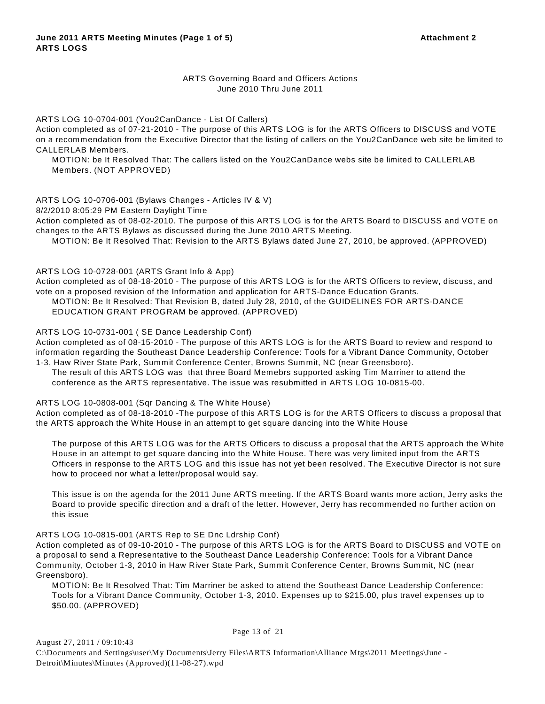## ARTS Governing Board and Officers Actions June 2010 Thru June 2011

#### ARTS LOG 10-0704-001 (You2CanDance - List Of Callers)

Action completed as of 07-21-2010 - The purpose of this ARTS LOG is for the ARTS Officers to DISCUSS and VOTE on a recommendation from the Executive Director that the listing of callers on the You2CanDance web site be limited to CALLERLAB Members.

MOTION: be It Resolved That: The callers listed on the You2CanDance webs site be limited to CALLERLAB Members. (NOT APPROVED)

ARTS LOG 10-0706-001 (Bylaws Changes - Articles IV & V)

8/2/2010 8:05:29 PM Eastern Daylight Time

Action completed as of 08-02-2010. The purpose of this ARTS LOG is for the ARTS Board to DISCUSS and VOTE on changes to the ARTS Bylaws as discussed during the June 2010 ARTS Meeting.

MOTION: Be It Resolved That: Revision to the ARTS Bylaws dated June 27, 2010, be approved. (APPROVED)

### ARTS LOG 10-0728-001 (ARTS Grant Info & App)

Action completed as of 08-18-2010 - The purpose of this ARTS LOG is for the ARTS Officers to review, discuss, and vote on a proposed revision of the Information and application for ARTS-Dance Education Grants.

MOTION: Be It Resolved: That Revision B, dated July 28, 2010, of the GUIDELINES FOR ARTS-DANCE EDUCATION GRANT PROGRAM be approved. (APPROVED)

#### ARTS LOG 10-0731-001 ( SE Dance Leadership Conf)

Action completed as of 08-15-2010 - The purpose of this ARTS LOG is for the ARTS Board to review and respond to information regarding the Southeast Dance Leadership Conference: Tools for a Vibrant Dance Community, October 1-3, Haw River State Park, Summit Conference Center, Browns Summit, NC (near Greensboro).

The result of this ARTS LOG was that three Board Memebrs supported asking Tim Marriner to attend the conference as the ARTS representative. The issue was resubmitted in ARTS LOG 10-0815-00.

ARTS LOG 10-0808-001 (Sqr Dancing & The W hite House)

Action completed as of 08-18-2010 -The purpose of this ARTS LOG is for the ARTS Officers to discuss a proposal that the ARTS approach the W hite House in an attempt to get square dancing into the W hite House

The purpose of this ARTS LOG was for the ARTS Officers to discuss a proposal that the ARTS approach the W hite House in an attempt to get square dancing into the W hite House. There was very limited input from the ARTS Officers in response to the ARTS LOG and this issue has not yet been resolved. The Executive Director is not sure how to proceed nor what a letter/proposal would say.

This issue is on the agenda for the 2011 June ARTS meeting. If the ARTS Board wants more action, Jerry asks the Board to provide specific direction and a draft of the letter. However, Jerry has recommended no further action on this issue

#### ARTS LOG 10-0815-001 (ARTS Rep to SE Dnc Ldrship Conf)

Action completed as of 09-10-2010 - The purpose of this ARTS LOG is for the ARTS Board to DISCUSS and VOTE on a proposal to send a Representative to the Southeast Dance Leadership Conference: Tools for a Vibrant Dance Community, October 1-3, 2010 in Haw River State Park, Summit Conference Center, Browns Summit, NC (near Greensboro).

MOTION: Be It Resolved That: Tim Marriner be asked to attend the Southeast Dance Leadership Conference: Tools for a Vibrant Dance Community, October 1-3, 2010. Expenses up to \$215.00, plus travel expenses up to \$50.00. (APPROVED)

Page 13 of 21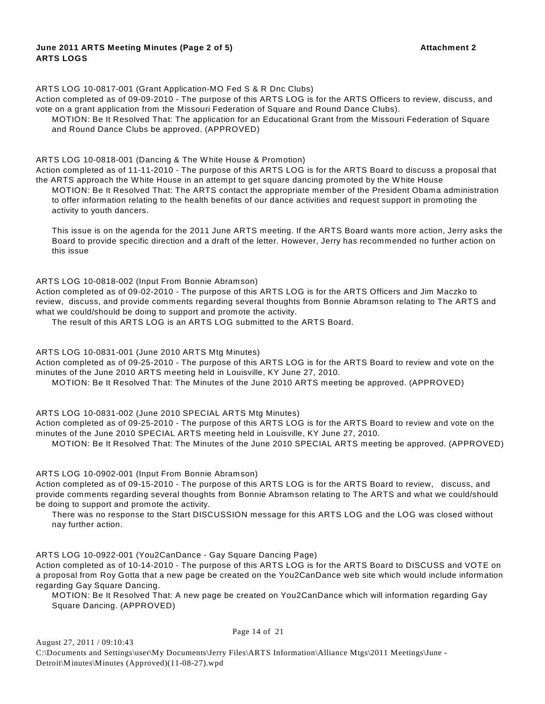### **June 2011 ARTS Meeting Minutes (Page 2 of 5) Attachment 2 ARTS LOGS**

ARTS LOG 10-0817-001 (Grant Application-MO Fed S & R Dnc Clubs)

Action completed as of 09-09-2010 - The purpose of this ARTS LOG is for the ARTS Officers to review, discuss, and vote on a grant application from the Missouri Federation of Square and Round Dance Clubs).

MOTION: Be It Resolved That: The application for an Educational Grant from the Missouri Federation of Square and Round Dance Clubs be approved. (APPROVED)

#### ARTS LOG 10-0818-001 (Dancing & The W hite House & Promotion)

Action completed as of 11-11-2010 - The purpose of this ARTS LOG is for the ARTS Board to discuss a proposal that the ARTS approach the White House in an attempt to get square dancing promoted by the White House MOTION: Be It Resolved That: The ARTS contact the appropriate member of the President Obama administration

to offer information relating to the health benefits of our dance activities and request support in promoting the activity to youth dancers.

This issue is on the agenda for the 2011 June ARTS meeting. If the ARTS Board wants more action, Jerry asks the Board to provide specific direction and a draft of the letter. However, Jerry has recommended no further action on this issue

### ARTS LOG 10-0818-002 (Input From Bonnie Abramson)

Action completed as of 09-02-2010 - The purpose of this ARTS LOG is for the ARTS Officers and Jim Maczko to review, discuss, and provide comments regarding several thoughts from Bonnie Abramson relating to The ARTS and what we could/should be doing to support and promote the activity.

The result of this ARTS LOG is an ARTS LOG submitted to the ARTS Board.

ARTS LOG 10-0831-001 (June 2010 ARTS Mtg Minutes)

Action completed as of 09-25-2010 - The purpose of this ARTS LOG is for the ARTS Board to review and vote on the minutes of the June 2010 ARTS meeting held in Louisville, KY June 27, 2010.

MOTION: Be It Resolved That: The Minutes of the June 2010 ARTS meeting be approved. (APPROVED)

ARTS LOG 10-0831-002 (June 2010 SPECIAL ARTS Mtg Minutes)

Action completed as of 09-25-2010 - The purpose of this ARTS LOG is for the ARTS Board to review and vote on the minutes of the June 2010 SPECIAL ARTS meeting held in Louisville, KY June 27, 2010.

MOTION: Be It Resolved That: The Minutes of the June 2010 SPECIAL ARTS meeting be approved. (APPROVED)

## ARTS LOG 10-0902-001 (Input From Bonnie Abramson)

Action completed as of 09-15-2010 - The purpose of this ARTS LOG is for the ARTS Board to review, discuss, and provide comments regarding several thoughts from Bonnie Abramson relating to The ARTS and what we could/should be doing to support and promote the activity.

There was no response to the Start DISCUSSION message for this ARTS LOG and the LOG was closed without nay further action.

ARTS LOG 10-0922-001 (You2CanDance - Gay Square Dancing Page)

Action completed as of 10-14-2010 - The purpose of this ARTS LOG is for the ARTS Board to DISCUSS and VOTE on a proposal from Roy Gotta that a new page be created on the You2CanDance web site which would include information regarding Gay Square Dancing.

MOTION: Be It Resolved That: A new page be created on You2CanDance which will information regarding Gay Square Dancing. (APPROVED)

Page 14 of 21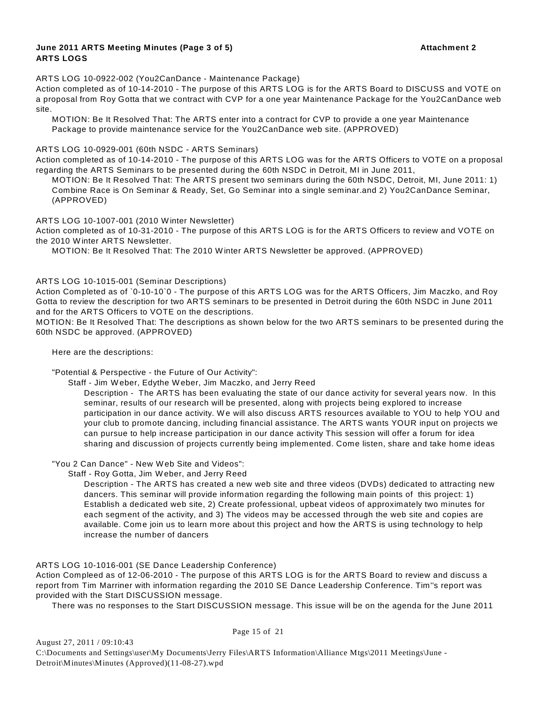### **June 2011 ARTS Meeting Minutes (Page 3 of 5) Attachment 2 ARTS LOGS**

## ARTS LOG 10-0922-002 (You2CanDance - Maintenance Package)

Action completed as of 10-14-2010 - The purpose of this ARTS LOG is for the ARTS Board to DISCUSS and VOTE on a proposal from Roy Gotta that we contract with CVP for a one year Maintenance Package for the You2CanDance web site.

MOTION: Be It Resolved That: The ARTS enter into a contract for CVP to provide a one year Maintenance Package to provide maintenance service for the You2CanDance web site. (APPROVED)

### ARTS LOG 10-0929-001 (60th NSDC - ARTS Seminars)

Action completed as of 10-14-2010 - The purpose of this ARTS LOG was for the ARTS Officers to VOTE on a proposal regarding the ARTS Seminars to be presented during the 60th NSDC in Detroit, MI in June 2011,

MOTION: Be It Resolved That: The ARTS present two seminars during the 60th NSDC, Detroit, MI, June 2011: 1) Combine Race is On Seminar & Ready, Set, Go Seminar into a single seminar.and 2) You2CanDance Seminar, (APPROVED)

#### ARTS LOG 10-1007-001 (2010 W inter Newsletter)

Action completed as of 10-31-2010 - The purpose of this ARTS LOG is for the ARTS Officers to review and VOTE on the 2010 W inter ARTS Newsletter.

MOTION: Be It Resolved That: The 2010 W inter ARTS Newsletter be approved. (APPROVED)

### ARTS LOG 10-1015-001 (Seminar Descriptions)

Action Completed as of `0-10-10`0 - The purpose of this ARTS LOG was for the ARTS Officers, Jim Maczko, and Roy Gotta to review the description for two ARTS seminars to be presented in Detroit during the 60th NSDC in June 2011 and for the ARTS Officers to VOTE on the descriptions.

MOTION: Be It Resolved That: The descriptions as shown below for the two ARTS seminars to be presented during the 60th NSDC be approved. (APPROVED)

Here are the descriptions:

#### "Potential & Perspective - the Future of Our Activity":

#### Staff - Jim W eber, Edythe W eber, Jim Maczko, and Jerry Reed

Description - The ARTS has been evaluating the state of our dance activity for several years now. In this seminar, results of our research will be presented, along with projects being explored to increase participation in our dance activity. W e will also discuss ARTS resources available to YOU to help YOU and your club to promote dancing, including financial assistance. The ARTS wants YOUR input on projects we can pursue to help increase participation in our dance activity This session will offer a forum for idea sharing and discussion of projects currently being implemented. Come listen, share and take home ideas

#### "You 2 Can Dance" - New W eb Site and Videos":

#### Staff - Roy Gotta, Jim W eber, and Jerry Reed

Description - The ARTS has created a new web site and three videos (DVDs) dedicated to attracting new dancers. This seminar will provide information regarding the following main points of this project: 1) Establish a dedicated web site, 2) Create professional, upbeat videos of approximately two minutes for each segment of the activity, and 3) The videos may be accessed through the web site and copies are available. Come join us to learn more about this project and how the ARTS is using technology to help increase the number of dancers

## ARTS LOG 10-1016-001 (SE Dance Leadership Conference)

Action Compleed as of 12-06-2010 - The purpose of this ARTS LOG is for the ARTS Board to review and discuss a report from Tim Marriner with information regarding the 2010 SE Dance Leadership Conference. Tim''s report was provided with the Start DISCUSSION message.

There was no responses to the Start DISCUSSION message. This issue will be on the agenda for the June 2011

#### Page 15 of 21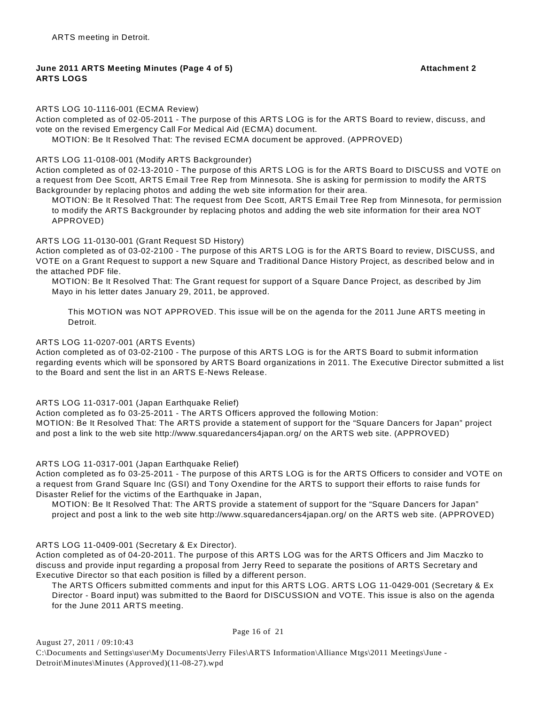## **June 2011 ARTS Meeting Minutes (Page 4 of 5) Attachment 2 ARTS LOGS**

### ARTS LOG 10-1116-001 (ECMA Review)

Action completed as of 02-05-2011 - The purpose of this ARTS LOG is for the ARTS Board to review, discuss, and vote on the revised Emergency Call For Medical Aid (ECMA) document.

MOTION: Be It Resolved That: The revised ECMA document be approved. (APPROVED)

### ARTS LOG 11-0108-001 (Modify ARTS Backgrounder)

Action completed as of 02-13-2010 - The purpose of this ARTS LOG is for the ARTS Board to DISCUSS and VOTE on a request from Dee Scott, ARTS Email Tree Rep from Minnesota. She is asking for permission to modify the ARTS Backgrounder by replacing photos and adding the web site information for their area.

MOTION: Be It Resolved That: The request from Dee Scott, ARTS Email Tree Rep from Minnesota, for permission to modify the ARTS Backgrounder by replacing photos and adding the web site information for their area NOT APPROVED)

ARTS LOG 11-0130-001 (Grant Request SD History)

Action completed as of 03-02-2100 - The purpose of this ARTS LOG is for the ARTS Board to review, DISCUSS, and VOTE on a Grant Request to support a new Square and Traditional Dance History Project, as described below and in the attached PDF file.

MOTION: Be It Resolved That: The Grant request for support of a Square Dance Project, as described by Jim Mayo in his letter dates January 29, 2011, be approved.

This MOTION was NOT APPROVED. This issue will be on the agenda for the 2011 June ARTS meeting in Detroit.

## ARTS LOG 11-0207-001 (ARTS Events)

Action completed as of 03-02-2100 - The purpose of this ARTS LOG is for the ARTS Board to submit information regarding events which will be sponsored by ARTS Board organizations in 2011. The Executive Director submitted a list to the Board and sent the list in an ARTS E-News Release.

ARTS LOG 11-0317-001 (Japan Earthquake Relief)

Action completed as fo 03-25-2011 - The ARTS Officers approved the following Motion: MOTION: Be It Resolved That: The ARTS provide a statement of support for the "Square Dancers for Japan" project and post a link to the web site http://www.squaredancers4japan.org/ on the ARTS web site. (APPROVED)

ARTS LOG 11-0317-001 (Japan Earthquake Relief)

Action completed as fo 03-25-2011 - The purpose of this ARTS LOG is for the ARTS Officers to consider and VOTE on a request from Grand Square Inc (GSI) and Tony Oxendine for the ARTS to support their efforts to raise funds for Disaster Relief for the victims of the Earthquake in Japan,

MOTION: Be It Resolved That: The ARTS provide a statement of support for the "Square Dancers for Japan" project and post a link to the web site http://www.squaredancers4japan.org/ on the ARTS web site. (APPROVED)

## ARTS LOG 11-0409-001 (Secretary & Ex Director).

Action completed as of 04-20-2011. The purpose of this ARTS LOG was for the ARTS Officers and Jim Maczko to discuss and provide input regarding a proposal from Jerry Reed to separate the positions of ARTS Secretary and Executive Director so that each position is filled by a different person.

Page 16 of 21

The ARTS Officers submitted comments and input for this ARTS LOG. ARTS LOG 11-0429-001 (Secretary & Ex Director - Board input) was submitted to the Baord for DISCUSSION and VOTE. This issue is also on the agenda for the June 2011 ARTS meeting.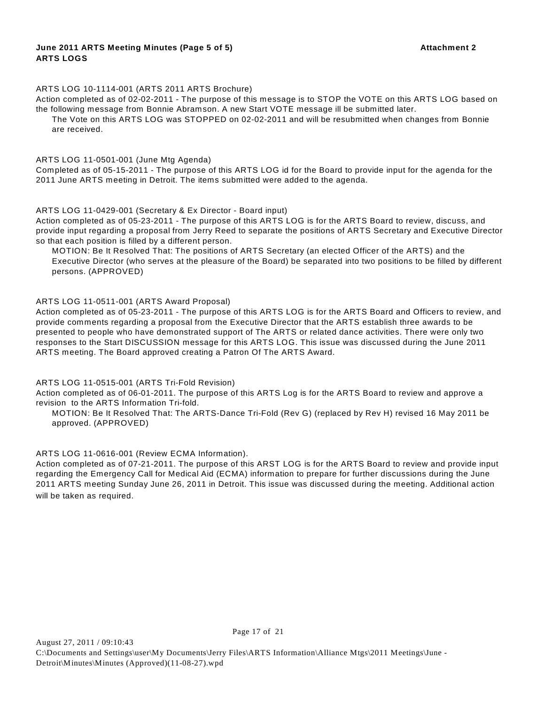#### **June 2011 ARTS Meeting Minutes (Page 5 of 5) Attachment 2 ARTS LOGS**

ARTS LOG 10-1114-001 (ARTS 2011 ARTS Brochure)

Action completed as of 02-02-2011 - The purpose of this message is to STOP the VOTE on this ARTS LOG based on the following message from Bonnie Abramson. A new Start VOTE message ill be submitted later.

The Vote on this ARTS LOG was STOPPED on 02-02-2011 and will be resubmitted when changes from Bonnie are received.

#### ARTS LOG 11-0501-001 (June Mtg Agenda)

Completed as of 05-15-2011 - The purpose of this ARTS LOG id for the Board to provide input for the agenda for the 2011 June ARTS meeting in Detroit. The items submitted were added to the agenda.

### ARTS LOG 11-0429-001 (Secretary & Ex Director - Board input)

Action completed as of 05-23-2011 - The purpose of this ARTS LOG is for the ARTS Board to review, discuss, and provide input regarding a proposal from Jerry Reed to separate the positions of ARTS Secretary and Executive Director so that each position is filled by a different person.

MOTION: Be It Resolved That: The positions of ARTS Secretary (an elected Officer of the ARTS) and the Executive Director (who serves at the pleasure of the Board) be separated into two positions to be filled by different persons. (APPROVED)

### ARTS LOG 11-0511-001 (ARTS Award Proposal)

Action completed as of 05-23-2011 - The purpose of this ARTS LOG is for the ARTS Board and Officers to review, and provide comments regarding a proposal from the Executive Director that the ARTS establish three awards to be presented to people who have demonstrated support of The ARTS or related dance activities. There were only two responses to the Start DISCUSSION message for this ARTS LOG. This issue was discussed during the June 2011 ARTS meeting. The Board approved creating a Patron Of The ARTS Award.

ARTS LOG 11-0515-001 (ARTS Tri-Fold Revision)

Action completed as of 06-01-2011. The purpose of this ARTS Log is for the ARTS Board to review and approve a revision to the ARTS Information Tri-fold.

MOTION: Be It Resolved That: The ARTS-Dance Tri-Fold (Rev G) (replaced by Rev H) revised 16 May 2011 be approved. (APPROVED)

### ARTS LOG 11-0616-001 (Review ECMA Information).

Action completed as of 07-21-2011. The purpose of this ARST LOG is for the ARTS Board to review and provide input regarding the Emergency Call for Medical Aid (ECMA) information to prepare for further discussions during the June 2011 ARTS meeting Sunday June 26, 2011 in Detroit. This issue was discussed during the meeting. Additional action will be taken as required.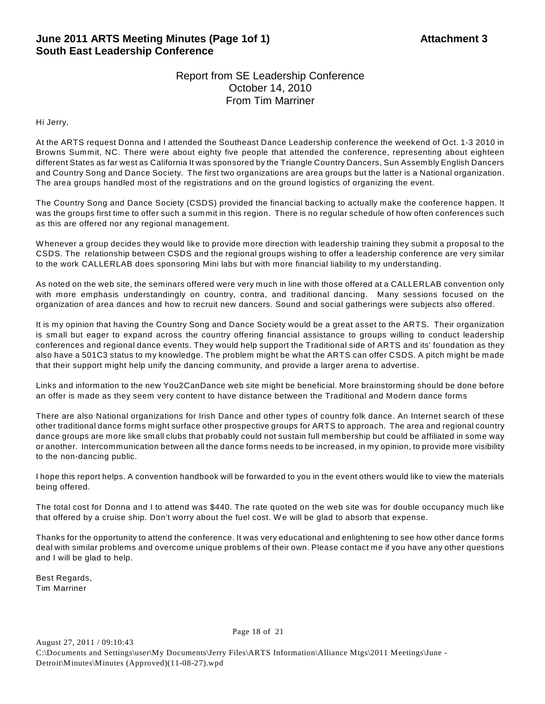## **June 2011 ARTS Meeting Minutes (Page 1of 1) Attachment 3 South East Leadership Conference**

## Report from SE Leadership Conference October 14, 2010 From Tim Marriner

Hi Jerry,

At the ARTS request Donna and I attended the Southeast Dance Leadership conference the weekend of Oct. 1-3 2010 in Browns Summit, NC. There were about eighty five people that attended the conference, representing about eighteen different States as far west as California It was sponsored by the Triangle Country Dancers, Sun Assembly English Dancers and Country Song and Dance Society. The first two organizations are area groups but the latter is a National organization. The area groups handled most of the registrations and on the ground logistics of organizing the event.

The Country Song and Dance Society (CSDS) provided the financial backing to actually make the conference happen. It was the groups first time to offer such a summit in this region. There is no regular schedule of how often conferences such as this are offered nor any regional management.

W henever a group decides they would like to provide more direction with leadership training they submit a proposal to the CSDS. The relationship between CSDS and the regional groups wishing to offer a leadership conference are very similar to the work CALLERLAB does sponsoring Mini labs but with more financial liability to my understanding.

As noted on the web site, the seminars offered were very much in line with those offered at a CALLERLAB convention only with more emphasis understandingly on country, contra, and traditional dancing. Many sessions focused on the organization of area dances and how to recruit new dancers. Sound and social gatherings were subjects also offered.

It is my opinion that having the Country Song and Dance Society would be a great asset to the ARTS. Their organization is small but eager to expand across the country offering financial assistance to groups willing to conduct leadership conferences and regional dance events. They would help support the Traditional side of ARTS and its' foundation as they also have a 501C3 status to my knowledge. The problem might be what the ARTS can offer CSDS. A pitch might be made that their support might help unify the dancing community, and provide a larger arena to advertise.

Links and information to the new You2CanDance web site might be beneficial. More brainstorming should be done before an offer is made as they seem very content to have distance between the Traditional and Modern dance forms

There are also National organizations for Irish Dance and other types of country folk dance. An Internet search of these other traditional dance forms might surface other prospective groups for ARTS to approach. The area and regional country dance groups are more like small clubs that probably could not sustain full membership but could be affiliated in some way or another. Intercommunication between all the dance forms needs to be increased, in my opinion, to provide more visibility to the non-dancing public.

I hope this report helps. A convention handbook will be forwarded to you in the event others would like to view the materials being offered.

The total cost for Donna and I to attend was \$440. The rate quoted on the web site was for double occupancy much like that offered by a cruise ship. Don't worry about the fuel cost. We will be glad to absorb that expense.

Thanks for the opportunity to attend the conference. It was very educational and enlightening to see how other dance forms deal with similar problems and overcome unique problems of their own. Please contact me if you have any other questions and I will be glad to help.

Best Regards, Tim Marriner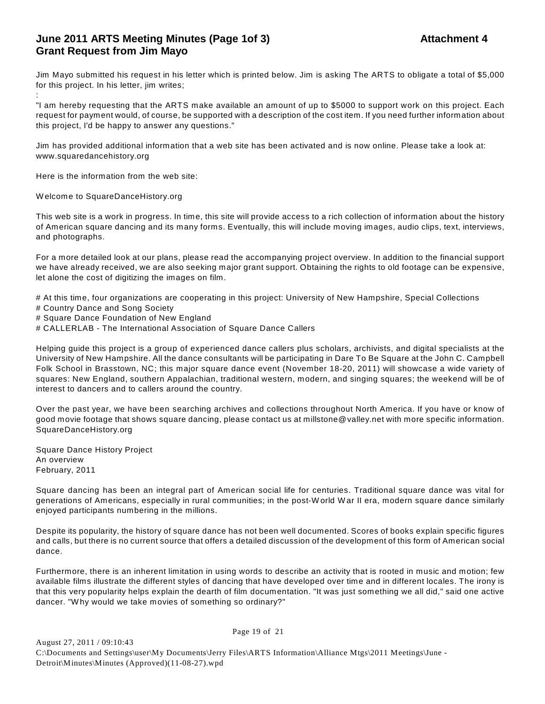## **June 2011 ARTS Meeting Minutes (Page 1of 3) Attachment 4 Grant Request from Jim Mayo**

Jim Mayo submitted his request in his letter which is printed below. Jim is asking The ARTS to obligate a total of \$5,000 for this project. In his letter, jim writes;

: "I am hereby requesting that the ARTS make available an amount of up to \$5000 to support work on this project. Each request for payment would, of course, be supported with a description of the cost item. If you need further information about this project, I'd be happy to answer any questions."

Jim has provided additional information that a web site has been activated and is now online. Please take a look at: www.squaredancehistory.org

Here is the information from the web site:

W elcome to SquareDanceHistory.org

This web site is a work in progress. In time, this site will provide access to a rich collection of information about the history of American square dancing and its many forms. Eventually, this will include moving images, audio clips, text, interviews, and photographs.

For a more detailed look at our plans, please read the accompanying project overview. In addition to the financial support we have already received, we are also seeking major grant support. Obtaining the rights to old footage can be expensive, let alone the cost of digitizing the images on film.

# At this time, four organizations are cooperating in this project: University of New Hampshire, Special Collections

- # Country Dance and Song Society
- # Square Dance Foundation of New England
- # CALLERLAB The International Association of Square Dance Callers

Helping guide this project is a group of experienced dance callers plus scholars, archivists, and digital specialists at the University of New Hampshire. All the dance consultants will be participating in Dare To Be Square at the John C. Campbell Folk School in Brasstown, NC; this major square dance event (November 18-20, 2011) will showcase a wide variety of squares: New England, southern Appalachian, traditional western, modern, and singing squares; the weekend will be of interest to dancers and to callers around the country.

Over the past year, we have been searching archives and collections throughout North America. If you have or know of good movie footage that shows square dancing, please contact us at millstone@valley.net with more specific information. SquareDanceHistory.org

Square Dance History Project An overview February, 2011

Square dancing has been an integral part of American social life for centuries. Traditional square dance was vital for generations of Americans, especially in rural communities; in the post-W orld War II era, modern square dance similarly enjoyed participants numbering in the millions.

Despite its popularity, the history of square dance has not been well documented. Scores of books explain specific figures and calls, but there is no current source that offers a detailed discussion of the development of this form of American social dance.

Furthermore, there is an inherent limitation in using words to describe an activity that is rooted in music and motion; few available films illustrate the different styles of dancing that have developed over time and in different locales. The irony is that this very popularity helps explain the dearth of film documentation. "It was just something we all did," said one active dancer. "W hy would we take movies of something so ordinary?"

Page 19 of 21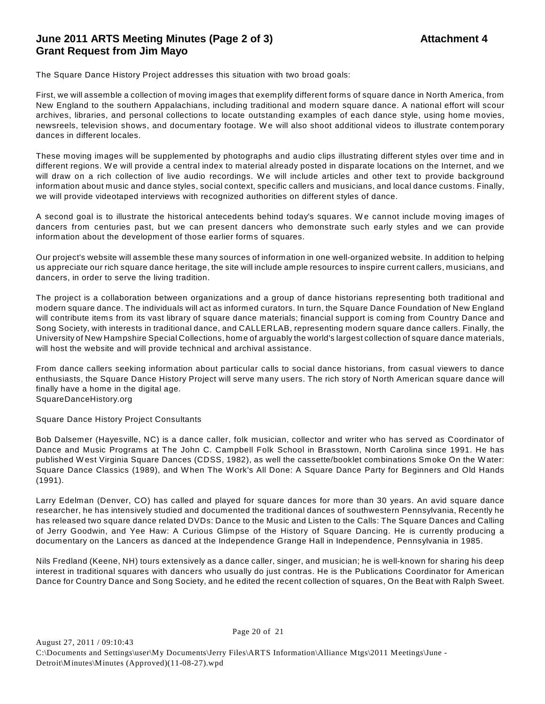## **June 2011 ARTS Meeting Minutes (Page 2 of 3) Attachment 4 Grant Request from Jim Mayo**

The Square Dance History Project addresses this situation with two broad goals:

First, we will assemble a collection of moving images that exemplify different forms of square dance in North America, from New England to the southern Appalachians, including traditional and modern square dance. A national effort will scour archives, libraries, and personal collections to locate outstanding examples of each dance style, using home movies, newsreels, television shows, and documentary footage. We will also shoot additional videos to illustrate contemporary dances in different locales.

These moving images will be supplemented by photographs and audio clips illustrating different styles over time and in different regions. W e will provide a central index to material already posted in disparate locations on the Internet, and we will draw on a rich collection of live audio recordings. We will include articles and other text to provide background information about music and dance styles, social context, specific callers and musicians, and local dance customs. Finally, we will provide videotaped interviews with recognized authorities on different styles of dance.

A second goal is to illustrate the historical antecedents behind today's squares. W e cannot include moving images of dancers from centuries past, but we can present dancers who demonstrate such early styles and we can provide information about the development of those earlier forms of squares.

Our project's website will assemble these many sources of information in one well-organized website. In addition to helping us appreciate our rich square dance heritage, the site will include ample resources to inspire current callers, musicians, and dancers, in order to serve the living tradition.

The project is a collaboration between organizations and a group of dance historians representing both traditional and modern square dance. The individuals will act as informed curators. In turn, the Square Dance Foundation of New England will contribute items from its vast library of square dance materials; financial support is coming from Country Dance and Song Society, with interests in traditional dance, and CALLERLAB, representing modern square dance callers. Finally, the University of New Hampshire Special Collections, home of arguably the world's largest collection of square dance materials, will host the website and will provide technical and archival assistance.

From dance callers seeking information about particular calls to social dance historians, from casual viewers to dance enthusiasts, the Square Dance History Project will serve many users. The rich story of North American square dance will finally have a home in the digital age. SquareDanceHistory.org

Square Dance History Project Consultants

Bob Dalsemer (Hayesville, NC) is a dance caller, folk musician, collector and writer who has served as Coordinator of Dance and Music Programs at The John C. Campbell Folk School in Brasstown, North Carolina since 1991. He has published W est Virginia Square Dances (CDSS, 1982), as well the cassette/booklet combinations Smoke On the W ater: Square Dance Classics (1989), and W hen The W ork's All Done: A Square Dance Party for Beginners and Old Hands (1991).

Larry Edelman (Denver, CO) has called and played for square dances for more than 30 years. An avid square dance researcher, he has intensively studied and documented the traditional dances of southwestern Pennsylvania, Recently he has released two square dance related DVDs: Dance to the Music and Listen to the Calls: The Square Dances and Calling of Jerry Goodwin, and Yee Haw: A Curious Glimpse of the History of Square Dancing. He is currently producing a documentary on the Lancers as danced at the Independence Grange Hall in Independence, Pennsylvania in 1985.

Nils Fredland (Keene, NH) tours extensively as a dance caller, singer, and musician; he is well-known for sharing his deep interest in traditional squares with dancers who usually do just contras. He is the Publications Coordinator for American Dance for Country Dance and Song Society, and he edited the recent collection of squares, On the Beat with Ralph Sweet.